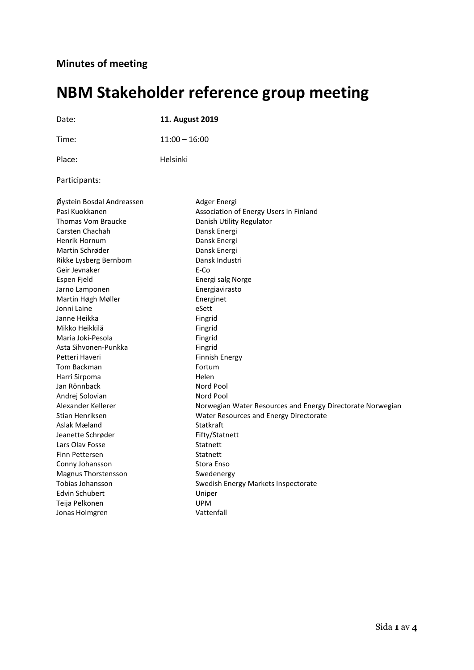# **NBM Stakeholder reference group meeting**

| Date:                                                                                                                                                                                                                                                                      | 11. August 2019                                                                                                                                                                                                                                 |
|----------------------------------------------------------------------------------------------------------------------------------------------------------------------------------------------------------------------------------------------------------------------------|-------------------------------------------------------------------------------------------------------------------------------------------------------------------------------------------------------------------------------------------------|
| Time:                                                                                                                                                                                                                                                                      | $11:00 - 16:00$                                                                                                                                                                                                                                 |
| Place:                                                                                                                                                                                                                                                                     | Helsinki                                                                                                                                                                                                                                        |
| Participants:                                                                                                                                                                                                                                                              |                                                                                                                                                                                                                                                 |
| Øystein Bosdal Andreassen<br>Pasi Kuokkanen<br>Thomas Vom Braucke<br>Carsten Chachah<br>Henrik Hornum<br>Martin Schrøder<br>Rikke Lysberg Bernbom<br>Geir Jevnaker<br>Espen Fjeld<br>Jarno Lamponen<br>Martin Høgh Møller<br>Jonni Laine<br>Janne Heikka<br>Mikko Heikkilä | Adger Energi<br>Association of Energy Users in Finland<br>Danish Utility Regulator<br>Dansk Energi<br>Dansk Energi<br>Dansk Energi<br>Dansk Industri<br>E-Co<br>Energi salg Norge<br>Energiavirasto<br>Energinet<br>eSett<br>Fingrid<br>Fingrid |
| Maria Joki-Pesola<br>Asta Sihvonen-Punkka<br>Petteri Haveri<br>Tom Backman<br>Harri Sirpoma<br>Jan Rönnback<br>Andrej Solovian<br>Alexander Kellerer                                                                                                                       | Fingrid<br>Fingrid<br><b>Finnish Energy</b><br>Fortum<br>Helen<br>Nord Pool<br>Nord Pool<br>Norwegian Water Resources and Energy Directorate Norwegian                                                                                          |
| Stian Henriksen<br>Aslak Mæland<br>Jeanette Schrøder<br>Lars Olav Fosse<br>Finn Pettersen<br>Conny Johansson<br>Magnus Thorstensson<br>Tobias Johansson<br><b>Edvin Schubert</b><br>Teija Pelkonen<br>Jonas Holmgren                                                       | Water Resources and Energy Directorate<br>Statkraft<br>Fifty/Statnett<br>Statnett<br>Statnett<br>Stora Enso<br>Swedenergy<br>Swedish Energy Markets Inspectorate<br>Uniper<br><b>UPM</b><br>Vattenfall                                          |
|                                                                                                                                                                                                                                                                            |                                                                                                                                                                                                                                                 |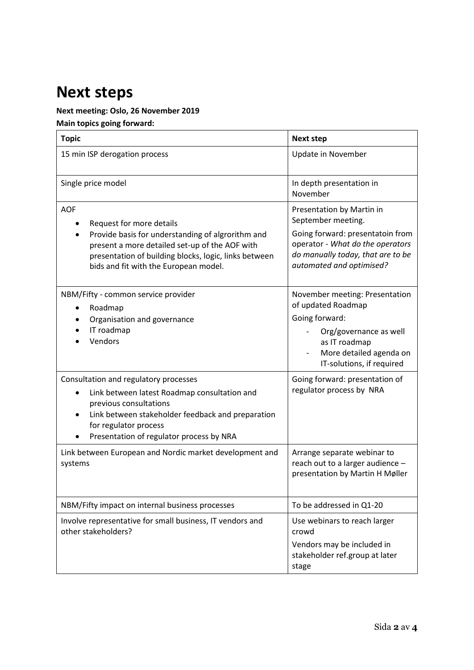# **Next steps**

### **Next meeting: Oslo, 26 November 2019**

**Main topics going forward:** 

| <b>Topic</b>                                                                                                                                                                                                                                           | <b>Next step</b>                                                                                                                                                                         |
|--------------------------------------------------------------------------------------------------------------------------------------------------------------------------------------------------------------------------------------------------------|------------------------------------------------------------------------------------------------------------------------------------------------------------------------------------------|
| 15 min ISP derogation process                                                                                                                                                                                                                          | Update in November                                                                                                                                                                       |
| Single price model                                                                                                                                                                                                                                     | In depth presentation in<br>November                                                                                                                                                     |
| <b>AOF</b><br>Request for more details<br>Provide basis for understanding of algrorithm and<br>present a more detailed set-up of the AOF with<br>presentation of building blocks, logic, links between<br>bids and fit with the European model.        | Presentation by Martin in<br>September meeting.<br>Going forward: presentatoin from<br>operator - What do the operators<br>do manually today, that are to be<br>automated and optimised? |
| NBM/Fifty - common service provider<br>Roadmap<br>٠<br>Organisation and governance<br>IT roadmap<br>Vendors                                                                                                                                            | November meeting: Presentation<br>of updated Roadmap<br>Going forward:<br>Org/governance as well<br>as IT roadmap<br>More detailed agenda on<br>IT-solutions, if required                |
| Consultation and regulatory processes<br>Link between latest Roadmap consultation and<br>$\bullet$<br>previous consultations<br>Link between stakeholder feedback and preparation<br>for regulator process<br>Presentation of regulator process by NRA | Going forward: presentation of<br>regulator process by NRA                                                                                                                               |
| Link between European and Nordic market development and<br>systems                                                                                                                                                                                     | Arrange separate webinar to<br>reach out to a larger audience -<br>presentation by Martin H Møller                                                                                       |
| NBM/Fifty impact on internal business processes                                                                                                                                                                                                        | To be addressed in Q1-20                                                                                                                                                                 |
| Involve representative for small business, IT vendors and<br>other stakeholders?                                                                                                                                                                       | Use webinars to reach larger<br>crowd<br>Vendors may be included in<br>stakeholder ref.group at later<br>stage                                                                           |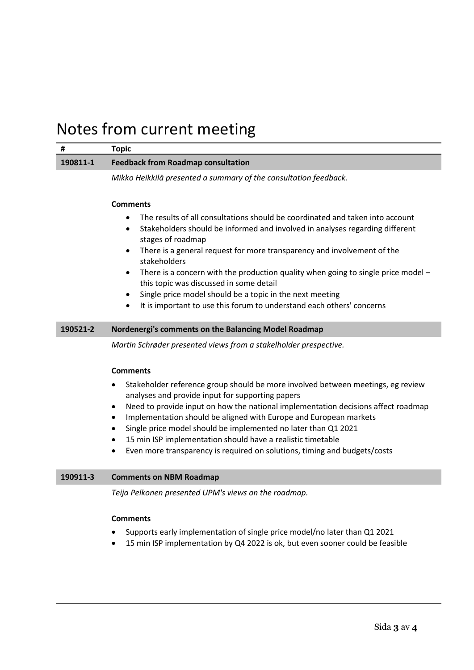### Notes from current meeting

|          | Topic                                     |
|----------|-------------------------------------------|
| 190811-1 | <b>Feedback from Roadmap consultation</b> |

*Mikko Heikkilä presented a summary of the consultation feedback.*

### **Comments**

- The results of all consultations should be coordinated and taken into account
- Stakeholders should be informed and involved in analyses regarding different stages of roadmap
- There is a general request for more transparency and involvement of the stakeholders
- There is a concern with the production quality when going to single price model this topic was discussed in some detail
- Single price model should be a topic in the next meeting
- It is important to use this forum to understand each others' concerns

#### **190521-2 Nordenergi's comments on the Balancing Model Roadmap**

*Martin Schrøder presented views from a stakelholder prespective.*

#### **Comments**

- Stakeholder reference group should be more involved between meetings, eg review analyses and provide input for supporting papers
- Need to provide input on how the national implementation decisions affect roadmap
- Implementation should be aligned with Europe and European markets
- Single price model should be implemented no later than Q1 2021
- 15 min ISP implementation should have a realistic timetable
- Even more transparency is required on solutions, timing and budgets/costs

#### **190911-3 Comments on NBM Roadmap**

*Teija Pelkonen presented UPM's views on the roadmap.*

#### **Comments**

- Supports early implementation of single price model/no later than Q1 2021
- 15 min ISP implementation by Q4 2022 is ok, but even sooner could be feasible